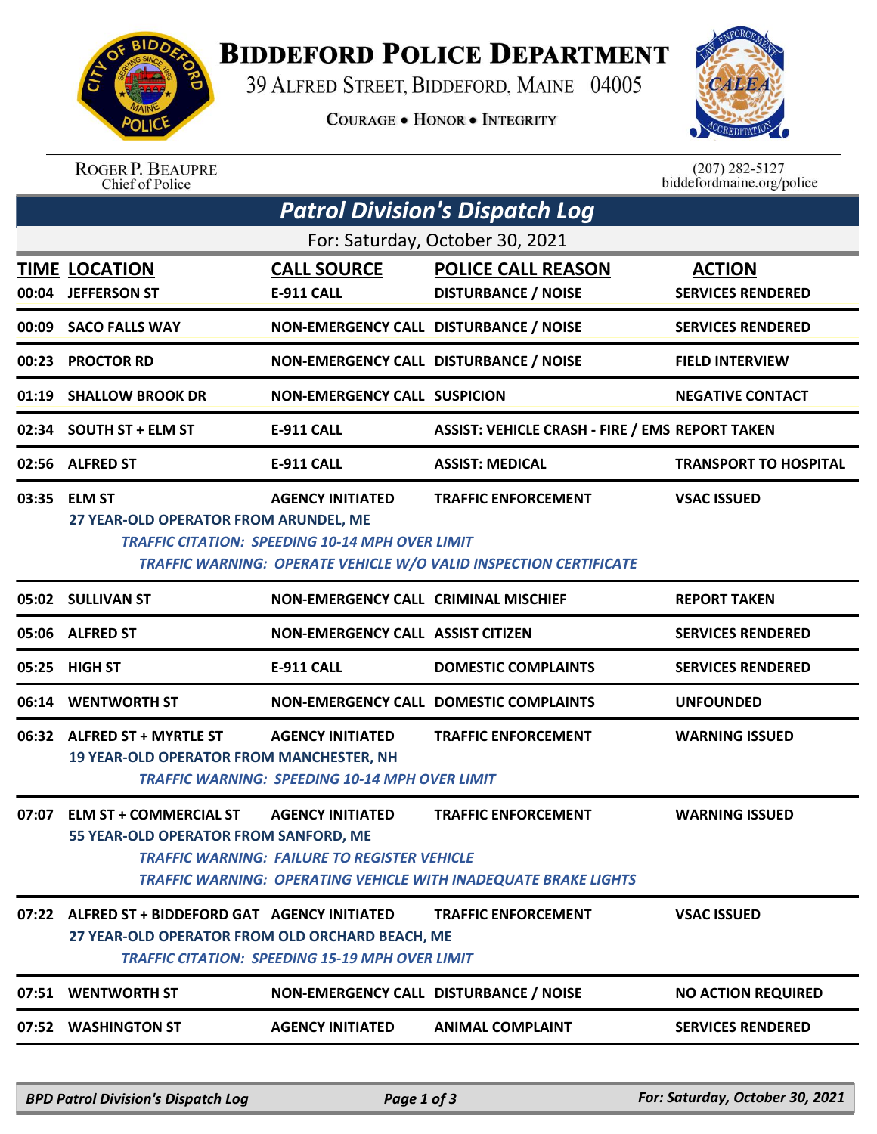

## **BIDDEFORD POLICE DEPARTMENT**

39 ALFRED STREET, BIDDEFORD, MAINE 04005

**COURAGE . HONOR . INTEGRITY** 



ROGER P. BEAUPRE<br>Chief of Police

 $(207)$  282-5127 biddefordmaine.org/police

|                                 | <b>Patrol Division's Dispatch Log</b>                                                               |                                                                                   |                                                                                                        |                                           |  |  |  |  |
|---------------------------------|-----------------------------------------------------------------------------------------------------|-----------------------------------------------------------------------------------|--------------------------------------------------------------------------------------------------------|-------------------------------------------|--|--|--|--|
| For: Saturday, October 30, 2021 |                                                                                                     |                                                                                   |                                                                                                        |                                           |  |  |  |  |
|                                 | <b>TIME LOCATION</b><br>00:04 JEFFERSON ST                                                          | <b>CALL SOURCE</b><br>E-911 CALL                                                  | <b>POLICE CALL REASON</b><br><b>DISTURBANCE / NOISE</b>                                                | <b>ACTION</b><br><b>SERVICES RENDERED</b> |  |  |  |  |
| 00:09                           | <b>SACO FALLS WAY</b>                                                                               | NON-EMERGENCY CALL DISTURBANCE / NOISE                                            |                                                                                                        | <b>SERVICES RENDERED</b>                  |  |  |  |  |
| 00:23                           | <b>PROCTOR RD</b>                                                                                   | NON-EMERGENCY CALL DISTURBANCE / NOISE                                            |                                                                                                        | <b>FIELD INTERVIEW</b>                    |  |  |  |  |
| 01:19                           | <b>SHALLOW BROOK DR</b>                                                                             | <b>NON-EMERGENCY CALL SUSPICION</b>                                               |                                                                                                        | <b>NEGATIVE CONTACT</b>                   |  |  |  |  |
|                                 | 02:34 SOUTH ST + ELM ST                                                                             | <b>E-911 CALL</b>                                                                 | <b>ASSIST: VEHICLE CRASH - FIRE / EMS REPORT TAKEN</b>                                                 |                                           |  |  |  |  |
|                                 | 02:56 ALFRED ST                                                                                     | <b>E-911 CALL</b>                                                                 | <b>ASSIST: MEDICAL</b>                                                                                 | <b>TRANSPORT TO HOSPITAL</b>              |  |  |  |  |
| 03:35                           | <b>ELM ST</b><br>27 YEAR-OLD OPERATOR FROM ARUNDEL, ME                                              | <b>AGENCY INITIATED</b><br><b>TRAFFIC CITATION: SPEEDING 10-14 MPH OVER LIMIT</b> | <b>TRAFFIC ENFORCEMENT</b><br><b>TRAFFIC WARNING: OPERATE VEHICLE W/O VALID INSPECTION CERTIFICATE</b> | <b>VSAC ISSUED</b>                        |  |  |  |  |
|                                 | 05:02 SULLIVAN ST                                                                                   | <b>NON-EMERGENCY CALL CRIMINAL MISCHIEF</b>                                       |                                                                                                        | <b>REPORT TAKEN</b>                       |  |  |  |  |
|                                 | 05:06 ALFRED ST                                                                                     | <b>NON-EMERGENCY CALL ASSIST CITIZEN</b>                                          |                                                                                                        | <b>SERVICES RENDERED</b>                  |  |  |  |  |
| 05:25                           | <b>HIGH ST</b>                                                                                      | <b>E-911 CALL</b>                                                                 | <b>DOMESTIC COMPLAINTS</b>                                                                             | <b>SERVICES RENDERED</b>                  |  |  |  |  |
| 06:14                           | <b>WENTWORTH ST</b>                                                                                 |                                                                                   | <b>NON-EMERGENCY CALL DOMESTIC COMPLAINTS</b>                                                          | <b>UNFOUNDED</b>                          |  |  |  |  |
| 06:32                           | <b>ALFRED ST + MYRTLE ST</b><br><b>19 YEAR-OLD OPERATOR FROM MANCHESTER, NH</b>                     | <b>AGENCY INITIATED</b><br><b>TRAFFIC WARNING: SPEEDING 10-14 MPH OVER LIMIT</b>  | <b>TRAFFIC ENFORCEMENT</b>                                                                             | <b>WARNING ISSUED</b>                     |  |  |  |  |
| 07:07                           | <b>ELM ST + COMMERCIAL ST</b><br>55 YEAR-OLD OPERATOR FROM SANFORD, ME                              | <b>AGENCY INITIATED</b><br><b>TRAFFIC WARNING: FAILURE TO REGISTER VEHICLE</b>    | <b>TRAFFIC ENFORCEMENT</b><br><b>TRAFFIC WARNING: OPERATING VEHICLE WITH INADEQUATE BRAKE LIGHTS</b>   | <b>WARNING ISSUED</b>                     |  |  |  |  |
|                                 | 07:22 ALFRED ST + BIDDEFORD GAT AGENCY INITIATED<br>27 YEAR-OLD OPERATOR FROM OLD ORCHARD BEACH, ME | <b>TRAFFIC CITATION: SPEEDING 15-19 MPH OVER LIMIT</b>                            | <b>TRAFFIC ENFORCEMENT</b>                                                                             | <b>VSAC ISSUED</b>                        |  |  |  |  |
|                                 | 07:51 WENTWORTH ST                                                                                  | NON-EMERGENCY CALL DISTURBANCE / NOISE                                            |                                                                                                        | <b>NO ACTION REQUIRED</b>                 |  |  |  |  |
|                                 | 07:52 WASHINGTON ST                                                                                 | <b>AGENCY INITIATED</b>                                                           | <b>ANIMAL COMPLAINT</b>                                                                                | <b>SERVICES RENDERED</b>                  |  |  |  |  |
|                                 |                                                                                                     |                                                                                   |                                                                                                        |                                           |  |  |  |  |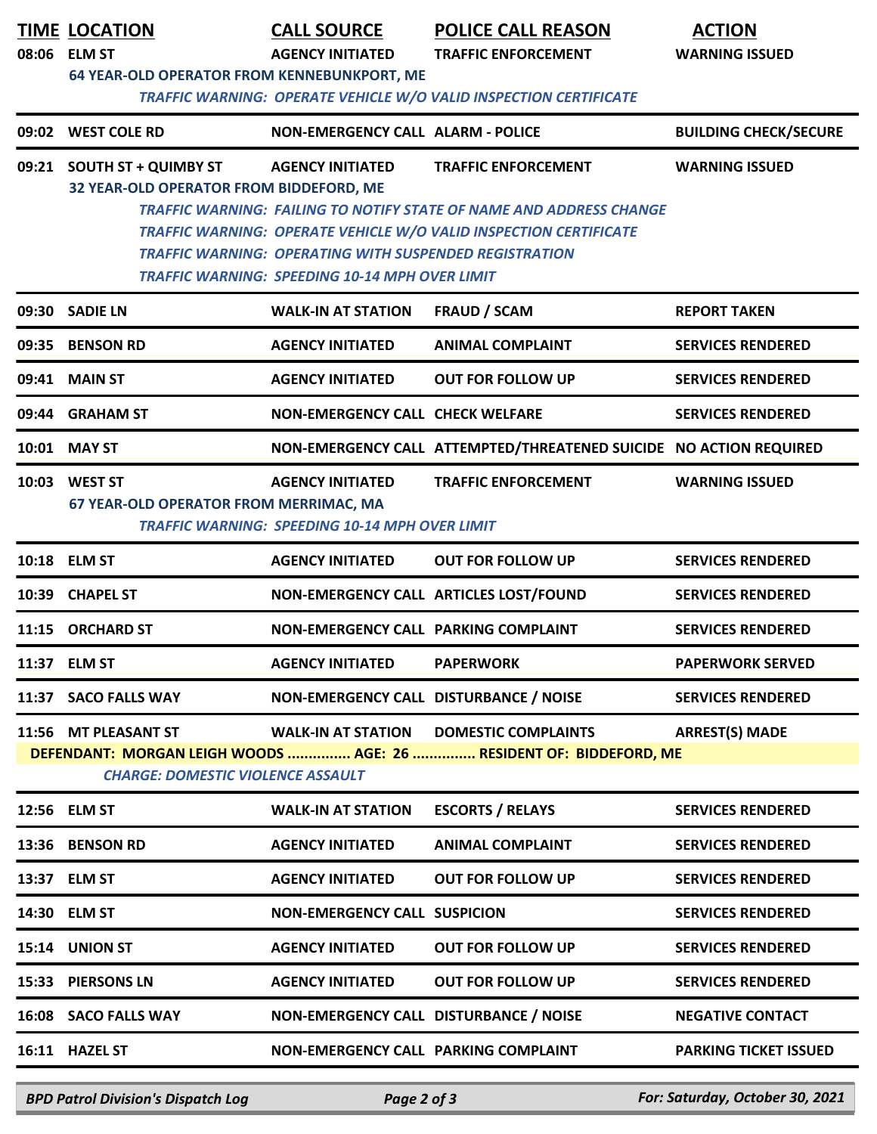|       | <b>TIME LOCATION</b><br>08:06 ELM ST<br><b>64 YEAR-OLD OPERATOR FROM KENNEBUNKPORT, ME</b> | <b>CALL SOURCE</b><br><b>AGENCY INITIATED</b>                                                                                                     | <b>POLICE CALL REASON</b><br><b>TRAFFIC ENFORCEMENT</b><br>TRAFFIC WARNING: OPERATE VEHICLE W/O VALID INSPECTION CERTIFICATE                                                  | <b>ACTION</b><br><b>WARNING ISSUED</b> |
|-------|--------------------------------------------------------------------------------------------|---------------------------------------------------------------------------------------------------------------------------------------------------|-------------------------------------------------------------------------------------------------------------------------------------------------------------------------------|----------------------------------------|
|       | 09:02 WEST COLE RD                                                                         | <b>NON-EMERGENCY CALL ALARM - POLICE</b>                                                                                                          |                                                                                                                                                                               | <b>BUILDING CHECK/SECURE</b>           |
|       | 09:21 SOUTH ST + QUIMBY ST<br>32 YEAR-OLD OPERATOR FROM BIDDEFORD, ME                      | <b>AGENCY INITIATED</b><br><b>TRAFFIC WARNING: OPERATING WITH SUSPENDED REGISTRATION</b><br><b>TRAFFIC WARNING: SPEEDING 10-14 MPH OVER LIMIT</b> | <b>TRAFFIC ENFORCEMENT</b><br><b>TRAFFIC WARNING: FAILING TO NOTIFY STATE OF NAME AND ADDRESS CHANGE</b><br>TRAFFIC WARNING: OPERATE VEHICLE W/O VALID INSPECTION CERTIFICATE | <b>WARNING ISSUED</b>                  |
|       | 09:30 SADIE LN                                                                             | <b>WALK-IN AT STATION</b>                                                                                                                         | <b>FRAUD / SCAM</b>                                                                                                                                                           | <b>REPORT TAKEN</b>                    |
|       | 09:35 BENSON RD                                                                            | <b>AGENCY INITIATED</b>                                                                                                                           | <b>ANIMAL COMPLAINT</b>                                                                                                                                                       | <b>SERVICES RENDERED</b>               |
|       | 09:41 MAIN ST                                                                              | <b>AGENCY INITIATED</b>                                                                                                                           | <b>OUT FOR FOLLOW UP</b>                                                                                                                                                      | <b>SERVICES RENDERED</b>               |
|       | 09:44 GRAHAM ST                                                                            | <b>NON-EMERGENCY CALL CHECK WELFARE</b>                                                                                                           |                                                                                                                                                                               | <b>SERVICES RENDERED</b>               |
|       | 10:01 MAY ST                                                                               |                                                                                                                                                   | NON-EMERGENCY CALL ATTEMPTED/THREATENED SUICIDE NO ACTION REQUIRED                                                                                                            |                                        |
|       | 10:03 WEST ST<br>67 YEAR-OLD OPERATOR FROM MERRIMAC, MA                                    | <b>AGENCY INITIATED</b><br><b>TRAFFIC WARNING: SPEEDING 10-14 MPH OVER LIMIT</b>                                                                  | <b>TRAFFIC ENFORCEMENT</b>                                                                                                                                                    | <b>WARNING ISSUED</b>                  |
|       | 10:18 ELM ST                                                                               | <b>AGENCY INITIATED</b>                                                                                                                           | <b>OUT FOR FOLLOW UP</b>                                                                                                                                                      | <b>SERVICES RENDERED</b>               |
| 10:39 | <b>CHAPEL ST</b>                                                                           | NON-EMERGENCY CALL ARTICLES LOST/FOUND                                                                                                            |                                                                                                                                                                               | <b>SERVICES RENDERED</b>               |
|       | 11:15 ORCHARD ST                                                                           | NON-EMERGENCY CALL PARKING COMPLAINT                                                                                                              |                                                                                                                                                                               | <b>SERVICES RENDERED</b>               |
|       | 11:37 ELM ST                                                                               | <b>AGENCY INITIATED</b>                                                                                                                           | <b>PAPERWORK</b>                                                                                                                                                              | <b>PAPERWORK SERVED</b>                |
|       | 11:37 SACO FALLS WAY                                                                       | NON-EMERGENCY CALL DISTURBANCE / NOISE                                                                                                            |                                                                                                                                                                               | <b>SERVICES RENDERED</b>               |
|       | 11:56 MT PLEASANT ST<br><b>CHARGE: DOMESTIC VIOLENCE ASSAULT</b>                           | <b>WALK-IN AT STATION</b>                                                                                                                         | <b>DOMESTIC COMPLAINTS</b><br>DEFENDANT: MORGAN LEIGH WOODS  AGE: 26  RESIDENT OF: BIDDEFORD, ME                                                                              | <b>ARREST(S) MADE</b>                  |
|       | 12:56 ELM ST                                                                               | <b>WALK-IN AT STATION</b>                                                                                                                         | <b>ESCORTS / RELAYS</b>                                                                                                                                                       | <b>SERVICES RENDERED</b>               |
|       | 13:36 BENSON RD                                                                            | <b>AGENCY INITIATED</b>                                                                                                                           | <b>ANIMAL COMPLAINT</b>                                                                                                                                                       | <b>SERVICES RENDERED</b>               |
|       | 13:37 ELM ST                                                                               | <b>AGENCY INITIATED</b>                                                                                                                           | <b>OUT FOR FOLLOW UP</b>                                                                                                                                                      | <b>SERVICES RENDERED</b>               |
|       | 14:30 ELM ST                                                                               | <b>NON-EMERGENCY CALL SUSPICION</b>                                                                                                               |                                                                                                                                                                               | <b>SERVICES RENDERED</b>               |
|       | 15:14 UNION ST                                                                             | <b>AGENCY INITIATED</b>                                                                                                                           | <b>OUT FOR FOLLOW UP</b>                                                                                                                                                      | <b>SERVICES RENDERED</b>               |
|       | 15:33 PIERSONS LN                                                                          | <b>AGENCY INITIATED</b>                                                                                                                           | <b>OUT FOR FOLLOW UP</b>                                                                                                                                                      | <b>SERVICES RENDERED</b>               |
|       | 16:08 SACO FALLS WAY                                                                       | NON-EMERGENCY CALL DISTURBANCE / NOISE                                                                                                            |                                                                                                                                                                               | <b>NEGATIVE CONTACT</b>                |
|       | 16:11 HAZEL ST                                                                             | NON-EMERGENCY CALL PARKING COMPLAINT                                                                                                              |                                                                                                                                                                               | <b>PARKING TICKET ISSUED</b>           |

*BPD Patrol Division's Dispatch Log Page 2 of 3 For: Saturday, October 30, 2021*